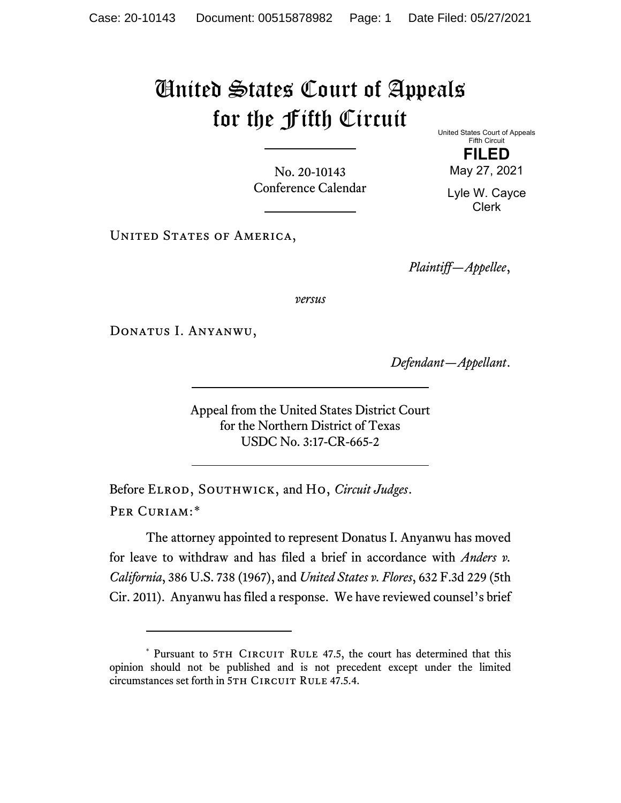## United States Court of Appeals for the Fifth Circuit

No. 20-10143 Conference Calendar United States Court of Appeals Fifth Circuit **FILED** May 27, 2021

Lyle W. Cayce Clerk

UNITED STATES OF AMERICA,

*Plaintiff—Appellee*,

*versus*

Donatus I. Anyanwu,

*Defendant—Appellant*.

Appeal from the United States District Court for the Northern District of Texas USDC No. 3:17-CR-665-2

Before Elrod, Southwick, and Ho, *Circuit Judges*. Per Curiam:[\\*](#page-0-0)

The attorney appointed to represent Donatus I. Anyanwu has moved for leave to withdraw and has filed a brief in accordance with *Anders v. California*, 386 U.S. 738 (1967), and *United States v. Flores*, 632 F.3d 229 (5th Cir. 2011). Anyanwu has filed a response. We have reviewed counsel's brief

<span id="page-0-0"></span><sup>\*</sup> Pursuant to 5TH CIRCUIT RULE 47.5, the court has determined that this opinion should not be published and is not precedent except under the limited circumstances set forth in 5TH CIRCUIT RULE 47.5.4.